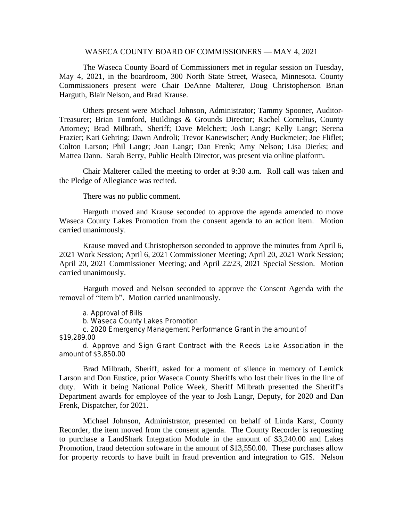## WASECA COUNTY BOARD OF COMMISSIONERS — MAY 4, 2021

The Waseca County Board of Commissioners met in regular session on Tuesday, May 4, 2021, in the boardroom, 300 North State Street, Waseca, Minnesota. County Commissioners present were Chair DeAnne Malterer, Doug Christopherson Brian Harguth, Blair Nelson, and Brad Krause.

Others present were Michael Johnson, Administrator; Tammy Spooner, Auditor-Treasurer; Brian Tomford, Buildings & Grounds Director; Rachel Cornelius, County Attorney; Brad Milbrath, Sheriff; Dave Melchert; Josh Langr; Kelly Langr; Serena Frazier; Kari Gehring; Dawn Androli; Trevor Kanewischer; Andy Buckmeier; Joe Fliflet; Colton Larson; Phil Langr; Joan Langr; Dan Frenk; Amy Nelson; Lisa Dierks; and Mattea Dann. Sarah Berry, Public Health Director, was present via online platform.

Chair Malterer called the meeting to order at 9:30 a.m. Roll call was taken and the Pledge of Allegiance was recited.

There was no public comment.

Harguth moved and Krause seconded to approve the agenda amended to move Waseca County Lakes Promotion from the consent agenda to an action item. Motion carried unanimously.

Krause moved and Christopherson seconded to approve the minutes from April 6, 2021 Work Session; April 6, 2021 Commissioner Meeting; April 20, 2021 Work Session; April 20, 2021 Commissioner Meeting; and April 22/23, 2021 Special Session. Motion carried unanimously.

Harguth moved and Nelson seconded to approve the Consent Agenda with the removal of "item b". Motion carried unanimously.

a. Approval of Bills

b. Waseca County Lakes Promotion

c. 2020 Emergency Management Performance Grant in the amount of \$19,289.00

d. Approve and Sign Grant Contract with the Reeds Lake Association in the amount of \$3,850.00

Brad Milbrath, Sheriff, asked for a moment of silence in memory of Lemick Larson and Don Eustice, prior Waseca County Sheriffs who lost their lives in the line of duty. With it being National Police Week, Sheriff Milbrath presented the Sheriff's Department awards for employee of the year to Josh Langr, Deputy, for 2020 and Dan Frenk, Dispatcher, for 2021.

Michael Johnson, Administrator, presented on behalf of Linda Karst, County Recorder, the item moved from the consent agenda. The County Recorder is requesting to purchase a LandShark Integration Module in the amount of \$3,240.00 and Lakes Promotion, fraud detection software in the amount of \$13,550.00. These purchases allow for property records to have built in fraud prevention and integration to GIS. Nelson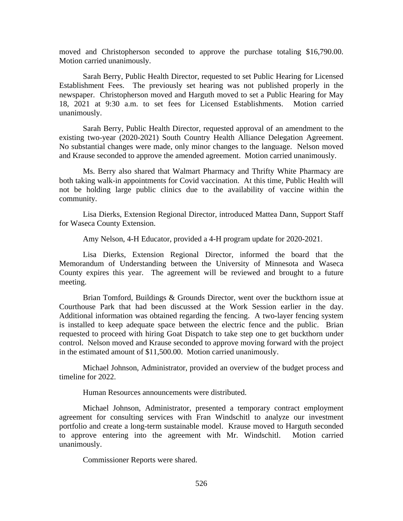moved and Christopherson seconded to approve the purchase totaling \$16,790.00. Motion carried unanimously.

Sarah Berry, Public Health Director, requested to set Public Hearing for Licensed Establishment Fees. The previously set hearing was not published properly in the newspaper. Christopherson moved and Harguth moved to set a Public Hearing for May 18, 2021 at 9:30 a.m. to set fees for Licensed Establishments. Motion carried unanimously.

Sarah Berry, Public Health Director, requested approval of an amendment to the existing two-year (2020-2021) South Country Health Alliance Delegation Agreement. No substantial changes were made, only minor changes to the language. Nelson moved and Krause seconded to approve the amended agreement. Motion carried unanimously.

Ms. Berry also shared that Walmart Pharmacy and Thrifty White Pharmacy are both taking walk-in appointments for Covid vaccination. At this time, Public Health will not be holding large public clinics due to the availability of vaccine within the community.

Lisa Dierks, Extension Regional Director, introduced Mattea Dann, Support Staff for Waseca County Extension.

Amy Nelson, 4-H Educator, provided a 4-H program update for 2020-2021.

Lisa Dierks, Extension Regional Director, informed the board that the Memorandum of Understanding between the University of Minnesota and Waseca County expires this year. The agreement will be reviewed and brought to a future meeting.

Brian Tomford, Buildings & Grounds Director, went over the buckthorn issue at Courthouse Park that had been discussed at the Work Session earlier in the day. Additional information was obtained regarding the fencing. A two-layer fencing system is installed to keep adequate space between the electric fence and the public. Brian requested to proceed with hiring Goat Dispatch to take step one to get buckthorn under control. Nelson moved and Krause seconded to approve moving forward with the project in the estimated amount of \$11,500.00. Motion carried unanimously.

Michael Johnson, Administrator, provided an overview of the budget process and timeline for 2022.

Human Resources announcements were distributed.

Michael Johnson, Administrator, presented a temporary contract employment agreement for consulting services with Fran Windschitl to analyze our investment portfolio and create a long-term sustainable model. Krause moved to Harguth seconded to approve entering into the agreement with Mr. Windschitl. Motion carried unanimously.

Commissioner Reports were shared.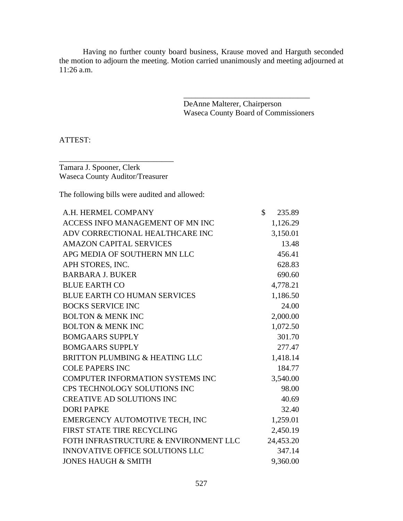Having no further county board business, Krause moved and Harguth seconded the motion to adjourn the meeting. Motion carried unanimously and meeting adjourned at 11:26 a.m.

> DeAnne Malterer, Chairperson Waseca County Board of Commissioners

\_\_\_\_\_\_\_\_\_\_\_\_\_\_\_\_\_\_\_\_\_\_\_\_\_\_\_\_\_\_\_\_

ATTEST:

Tamara J. Spooner, Clerk Waseca County Auditor/Treasurer

\_\_\_\_\_\_\_\_\_\_\_\_\_\_\_\_\_\_\_\_\_\_\_\_\_\_\_\_\_

The following bills were audited and allowed:

| A.H. HERMEL COMPANY                     | $\mathcal{S}$ | 235.89    |
|-----------------------------------------|---------------|-----------|
| ACCESS INFO MANAGEMENT OF MN INC        |               | 1,126.29  |
| ADV CORRECTIONAL HEALTHCARE INC         |               | 3,150.01  |
| <b>AMAZON CAPITAL SERVICES</b>          |               | 13.48     |
| APG MEDIA OF SOUTHERN MN LLC            |               | 456.41    |
| APH STORES, INC.                        |               | 628.83    |
| <b>BARBARA J. BUKER</b>                 |               | 690.60    |
| <b>BLUE EARTH CO</b>                    |               | 4,778.21  |
| <b>BLUE EARTH CO HUMAN SERVICES</b>     |               | 1,186.50  |
| <b>BOCKS SERVICE INC</b>                |               | 24.00     |
| <b>BOLTON &amp; MENK INC</b>            |               | 2,000.00  |
| <b>BOLTON &amp; MENK INC</b>            |               | 1,072.50  |
| <b>BOMGAARS SUPPLY</b>                  |               | 301.70    |
| <b>BOMGAARS SUPPLY</b>                  |               | 277.47    |
| BRITTON PLUMBING & HEATING LLC          |               | 1,418.14  |
| <b>COLE PAPERS INC</b>                  |               | 184.77    |
| <b>COMPUTER INFORMATION SYSTEMS INC</b> |               | 3,540.00  |
| CPS TECHNOLOGY SOLUTIONS INC            |               | 98.00     |
| <b>CREATIVE AD SOLUTIONS INC</b>        |               | 40.69     |
| <b>DORI PAPKE</b>                       |               | 32.40     |
| EMERGENCY AUTOMOTIVE TECH, INC          |               | 1,259.01  |
| FIRST STATE TIRE RECYCLING              |               | 2,450.19  |
| FOTH INFRASTRUCTURE & ENVIRONMENT LLC   |               | 24,453.20 |
| <b>INNOVATIVE OFFICE SOLUTIONS LLC</b>  |               | 347.14    |
| <b>JONES HAUGH &amp; SMITH</b>          |               | 9,360.00  |